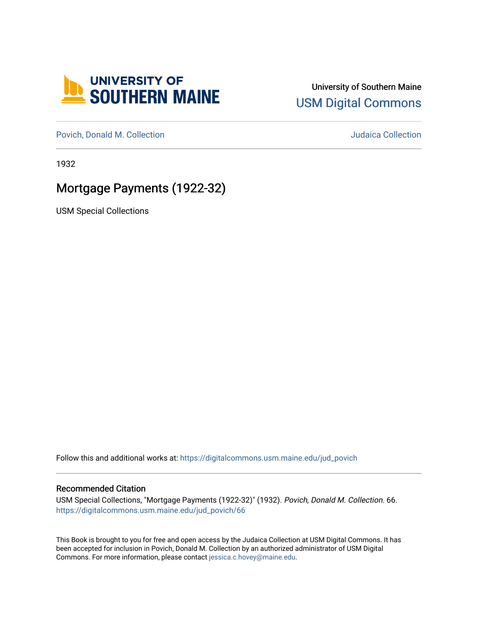

## University of Southern Maine [USM Digital Commons](https://digitalcommons.usm.maine.edu/)

[Povich, Donald M. Collection](https://digitalcommons.usm.maine.edu/jud_povich) **M. Automaker Collection** Judaica Collection

1932

## Mortgage Payments (1922-32)

USM Special Collections

Follow this and additional works at: [https://digitalcommons.usm.maine.edu/jud\\_povich](https://digitalcommons.usm.maine.edu/jud_povich?utm_source=digitalcommons.usm.maine.edu%2Fjud_povich%2F66&utm_medium=PDF&utm_campaign=PDFCoverPages) 

## Recommended Citation

USM Special Collections, "Mortgage Payments (1922-32)" (1932). Povich, Donald M. Collection. 66. [https://digitalcommons.usm.maine.edu/jud\\_povich/66](https://digitalcommons.usm.maine.edu/jud_povich/66?utm_source=digitalcommons.usm.maine.edu%2Fjud_povich%2F66&utm_medium=PDF&utm_campaign=PDFCoverPages)

This Book is brought to you for free and open access by the Judaica Collection at USM Digital Commons. It has been accepted for inclusion in Povich, Donald M. Collection by an authorized administrator of USM Digital Commons. For more information, please contact [jessica.c.hovey@maine.edu.](mailto:ian.fowler@maine.edu)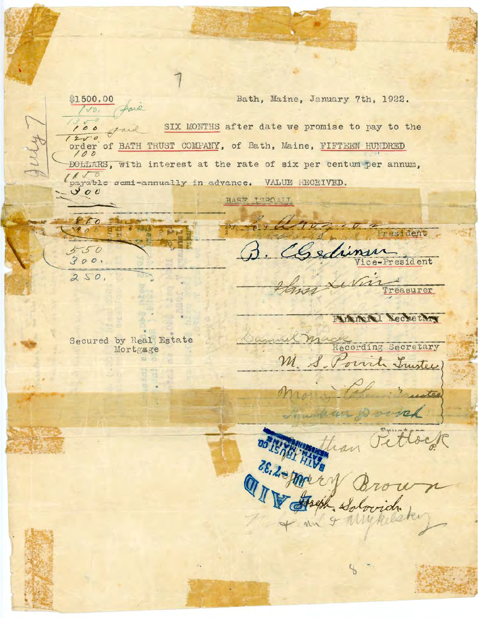\$1500.00 Bath, Maine, January 7th, 1922. Sail  $1/2$ gail SIX MONTHS after date we promise to pay to the 100  $1200$ order of BATH TRUST COMPANY, of Bath, Maine, FIFTEEN HUNDRED 100 DOLLARS, with interest at the rate of six per centum per annum, payable semi-annually in advance. VALUE RECEIVED.  $900$ BAST TOPOATT 850 Fresident edimen  $550$  $300.$ ce-President  $250,$ **Treasurer** MARNI Secretary Jumil Mack Secured by Real Estate Mortgage M. S. Porrich Trustee. with the for our 28. 2- Mary Brown